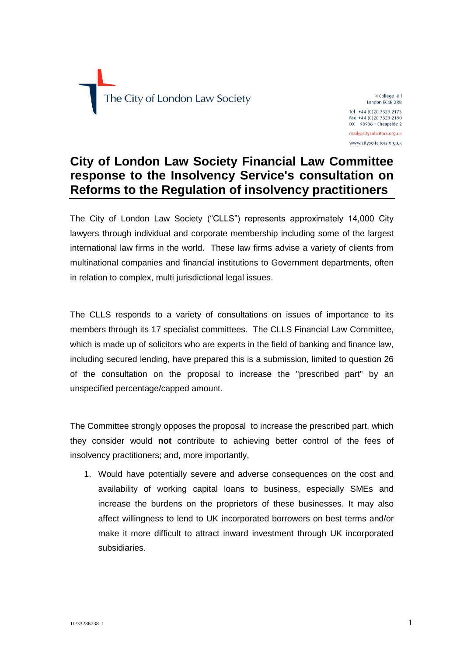

4 College Hill London EC4R 2RB Tel +44 (0)20 7329 2173 Fax +44 (0)20 7329 2190  $DX$  98936 - Cheapside 2 mail@citysolicitors.org.uk www.citysolicitors.org.uk

# **City of London Law Society Financial Law Committee response to the Insolvency Service's consultation on Reforms to the Regulation of insolvency practitioners**

The City of London Law Society ("CLLS") represents approximately 14,000 City lawyers through individual and corporate membership including some of the largest international law firms in the world. These law firms advise a variety of clients from multinational companies and financial institutions to Government departments, often in relation to complex, multi jurisdictional legal issues.

The CLLS responds to a variety of consultations on issues of importance to its members through its 17 specialist committees. The CLLS Financial Law Committee, which is made up of solicitors who are experts in the field of banking and finance law, including secured lending, have prepared this is a submission, limited to question 26 of the consultation on the proposal to increase the "prescribed part" by an unspecified percentage/capped amount.

The Committee strongly opposes the proposal to increase the prescribed part, which they consider would **not** contribute to achieving better control of the fees of insolvency practitioners; and, more importantly,

1. Would have potentially severe and adverse consequences on the cost and availability of working capital loans to business, especially SMEs and increase the burdens on the proprietors of these businesses. It may also affect willingness to lend to UK incorporated borrowers on best terms and/or make it more difficult to attract inward investment through UK incorporated subsidiaries.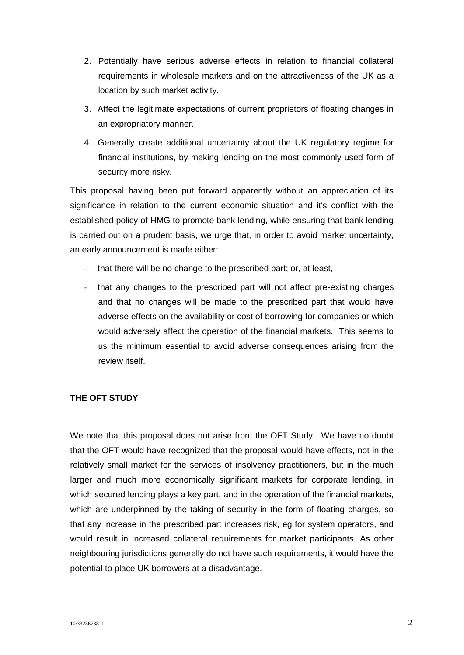- 2. Potentially have serious adverse effects in relation to financial collateral requirements in wholesale markets and on the attractiveness of the UK as a location by such market activity.
- 3. Affect the legitimate expectations of current proprietors of floating changes in an expropriatory manner.
- 4. Generally create additional uncertainty about the UK regulatory regime for financial institutions, by making lending on the most commonly used form of security more risky.

This proposal having been put forward apparently without an appreciation of its significance in relation to the current economic situation and it's conflict with the established policy of HMG to promote bank lending, while ensuring that bank lending is carried out on a prudent basis, we urge that, in order to avoid market uncertainty, an early announcement is made either:

- that there will be no change to the prescribed part; or, at least,
- that any changes to the prescribed part will not affect pre-existing charges and that no changes will be made to the prescribed part that would have adverse effects on the availability or cost of borrowing for companies or which would adversely affect the operation of the financial markets. This seems to us the minimum essential to avoid adverse consequences arising from the review itself.

## **THE OFT STUDY**

We note that this proposal does not arise from the OFT Study. We have no doubt that the OFT would have recognized that the proposal would have effects, not in the relatively small market for the services of insolvency practitioners, but in the much larger and much more economically significant markets for corporate lending, in which secured lending plays a key part, and in the operation of the financial markets, which are underpinned by the taking of security in the form of floating charges, so that any increase in the prescribed part increases risk, eg for system operators, and would result in increased collateral requirements for market participants. As other neighbouring jurisdictions generally do not have such requirements, it would have the potential to place UK borrowers at a disadvantage.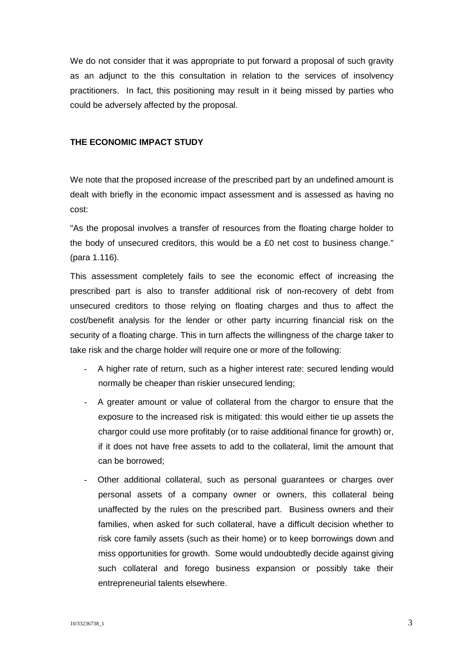We do not consider that it was appropriate to put forward a proposal of such gravity as an adjunct to the this consultation in relation to the services of insolvency practitioners. In fact, this positioning may result in it being missed by parties who could be adversely affected by the proposal.

## **THE ECONOMIC IMPACT STUDY**

We note that the proposed increase of the prescribed part by an undefined amount is dealt with briefly in the economic impact assessment and is assessed as having no cost:

"As the proposal involves a transfer of resources from the floating charge holder to the body of unsecured creditors, this would be a £0 net cost to business change." (para 1.116).

This assessment completely fails to see the economic effect of increasing the prescribed part is also to transfer additional risk of non-recovery of debt from unsecured creditors to those relying on floating charges and thus to affect the cost/benefit analysis for the lender or other party incurring financial risk on the security of a floating charge. This in turn affects the willingness of the charge taker to take risk and the charge holder will require one or more of the following:

- A higher rate of return, such as a higher interest rate: secured lending would normally be cheaper than riskier unsecured lending;
- A greater amount or value of collateral from the chargor to ensure that the exposure to the increased risk is mitigated: this would either tie up assets the chargor could use more profitably (or to raise additional finance for growth) or, if it does not have free assets to add to the collateral, limit the amount that can be borrowed;
- Other additional collateral, such as personal guarantees or charges over personal assets of a company owner or owners, this collateral being unaffected by the rules on the prescribed part. Business owners and their families, when asked for such collateral, have a difficult decision whether to risk core family assets (such as their home) or to keep borrowings down and miss opportunities for growth. Some would undoubtedly decide against giving such collateral and forego business expansion or possibly take their entrepreneurial talents elsewhere.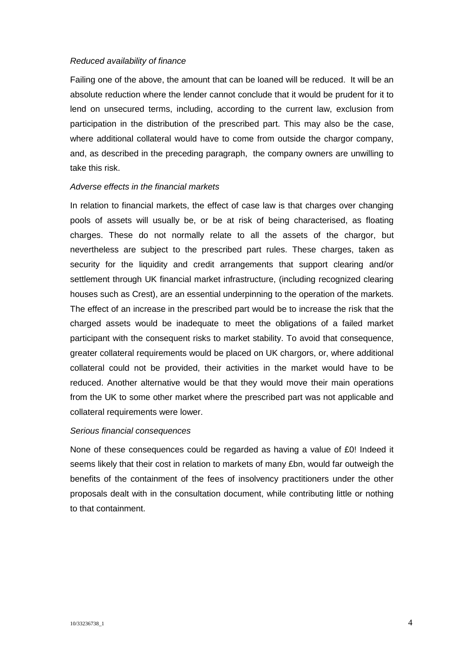#### *Reduced availability of finance*

Failing one of the above, the amount that can be loaned will be reduced. It will be an absolute reduction where the lender cannot conclude that it would be prudent for it to lend on unsecured terms, including, according to the current law, exclusion from participation in the distribution of the prescribed part. This may also be the case, where additional collateral would have to come from outside the chargor company, and, as described in the preceding paragraph, the company owners are unwilling to take this risk.

#### *Adverse effects in the financial markets*

In relation to financial markets, the effect of case law is that charges over changing pools of assets will usually be, or be at risk of being characterised, as floating charges. These do not normally relate to all the assets of the chargor, but nevertheless are subject to the prescribed part rules. These charges, taken as security for the liquidity and credit arrangements that support clearing and/or settlement through UK financial market infrastructure, (including recognized clearing houses such as Crest), are an essential underpinning to the operation of the markets. The effect of an increase in the prescribed part would be to increase the risk that the charged assets would be inadequate to meet the obligations of a failed market participant with the consequent risks to market stability. To avoid that consequence, greater collateral requirements would be placed on UK chargors, or, where additional collateral could not be provided, their activities in the market would have to be reduced. Another alternative would be that they would move their main operations from the UK to some other market where the prescribed part was not applicable and collateral requirements were lower.

### *Serious financial consequences*

None of these consequences could be regarded as having a value of £0! Indeed it seems likely that their cost in relation to markets of many £bn, would far outweigh the benefits of the containment of the fees of insolvency practitioners under the other proposals dealt with in the consultation document, while contributing little or nothing to that containment.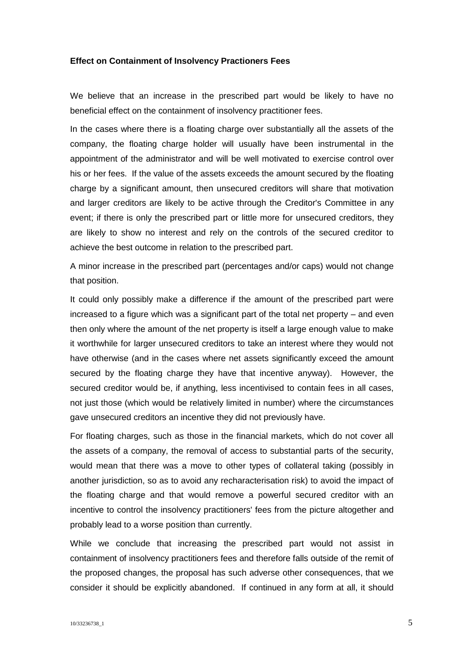#### **Effect on Containment of Insolvency Practioners Fees**

We believe that an increase in the prescribed part would be likely to have no beneficial effect on the containment of insolvency practitioner fees.

In the cases where there is a floating charge over substantially all the assets of the company, the floating charge holder will usually have been instrumental in the appointment of the administrator and will be well motivated to exercise control over his or her fees. If the value of the assets exceeds the amount secured by the floating charge by a significant amount, then unsecured creditors will share that motivation and larger creditors are likely to be active through the Creditor's Committee in any event; if there is only the prescribed part or little more for unsecured creditors, they are likely to show no interest and rely on the controls of the secured creditor to achieve the best outcome in relation to the prescribed part.

A minor increase in the prescribed part (percentages and/or caps) would not change that position.

It could only possibly make a difference if the amount of the prescribed part were increased to a figure which was a significant part of the total net property – and even then only where the amount of the net property is itself a large enough value to make it worthwhile for larger unsecured creditors to take an interest where they would not have otherwise (and in the cases where net assets significantly exceed the amount secured by the floating charge they have that incentive anyway). However, the secured creditor would be, if anything, less incentivised to contain fees in all cases, not just those (which would be relatively limited in number) where the circumstances gave unsecured creditors an incentive they did not previously have.

For floating charges, such as those in the financial markets, which do not cover all the assets of a company, the removal of access to substantial parts of the security, would mean that there was a move to other types of collateral taking (possibly in another jurisdiction, so as to avoid any recharacterisation risk) to avoid the impact of the floating charge and that would remove a powerful secured creditor with an incentive to control the insolvency practitioners' fees from the picture altogether and probably lead to a worse position than currently.

While we conclude that increasing the prescribed part would not assist in containment of insolvency practitioners fees and therefore falls outside of the remit of the proposed changes, the proposal has such adverse other consequences, that we consider it should be explicitly abandoned. If continued in any form at all, it should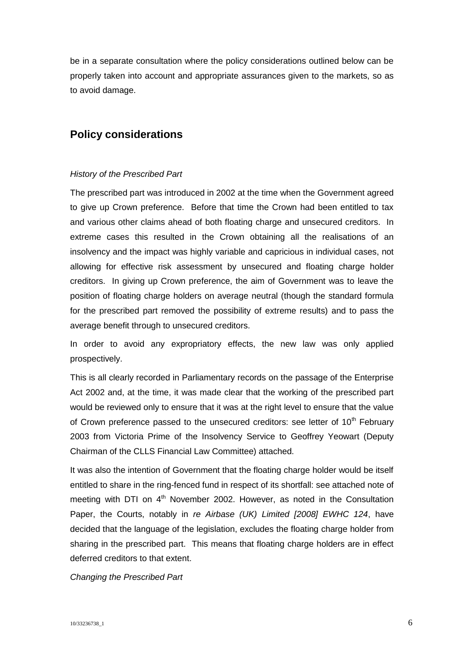be in a separate consultation where the policy considerations outlined below can be properly taken into account and appropriate assurances given to the markets, so as to avoid damage.

## **Policy considerations**

## *History of the Prescribed Part*

The prescribed part was introduced in 2002 at the time when the Government agreed to give up Crown preference. Before that time the Crown had been entitled to tax and various other claims ahead of both floating charge and unsecured creditors. In extreme cases this resulted in the Crown obtaining all the realisations of an insolvency and the impact was highly variable and capricious in individual cases, not allowing for effective risk assessment by unsecured and floating charge holder creditors. In giving up Crown preference, the aim of Government was to leave the position of floating charge holders on average neutral (though the standard formula for the prescribed part removed the possibility of extreme results) and to pass the average benefit through to unsecured creditors.

In order to avoid any expropriatory effects, the new law was only applied prospectively.

This is all clearly recorded in Parliamentary records on the passage of the Enterprise Act 2002 and, at the time, it was made clear that the working of the prescribed part would be reviewed only to ensure that it was at the right level to ensure that the value of Crown preference passed to the unsecured creditors: see letter of  $10<sup>th</sup>$  February 2003 from Victoria Prime of the Insolvency Service to Geoffrey Yeowart (Deputy Chairman of the CLLS Financial Law Committee) attached.

It was also the intention of Government that the floating charge holder would be itself entitled to share in the ring-fenced fund in respect of its shortfall: see attached note of meeting with DTI on 4<sup>th</sup> November 2002. However, as noted in the Consultation Paper, the Courts, notably in *re Airbase (UK) Limited [2008] EWHC 124*, have decided that the language of the legislation, excludes the floating charge holder from sharing in the prescribed part. This means that floating charge holders are in effect deferred creditors to that extent.

*Changing the Prescribed Part*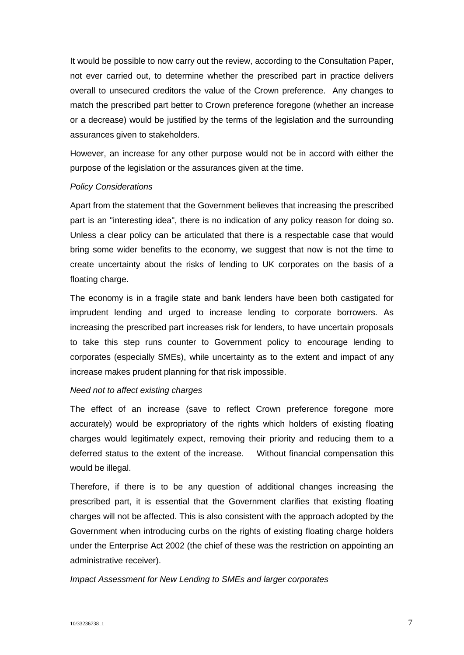It would be possible to now carry out the review, according to the Consultation Paper, not ever carried out, to determine whether the prescribed part in practice delivers overall to unsecured creditors the value of the Crown preference. Any changes to match the prescribed part better to Crown preference foregone (whether an increase or a decrease) would be justified by the terms of the legislation and the surrounding assurances given to stakeholders.

However, an increase for any other purpose would not be in accord with either the purpose of the legislation or the assurances given at the time.

## *Policy Considerations*

Apart from the statement that the Government believes that increasing the prescribed part is an "interesting idea", there is no indication of any policy reason for doing so. Unless a clear policy can be articulated that there is a respectable case that would bring some wider benefits to the economy, we suggest that now is not the time to create uncertainty about the risks of lending to UK corporates on the basis of a floating charge.

The economy is in a fragile state and bank lenders have been both castigated for imprudent lending and urged to increase lending to corporate borrowers. As increasing the prescribed part increases risk for lenders, to have uncertain proposals to take this step runs counter to Government policy to encourage lending to corporates (especially SMEs), while uncertainty as to the extent and impact of any increase makes prudent planning for that risk impossible.

### *Need not to affect existing charges*

The effect of an increase (save to reflect Crown preference foregone more accurately) would be expropriatory of the rights which holders of existing floating charges would legitimately expect, removing their priority and reducing them to a deferred status to the extent of the increase. Without financial compensation this would be illegal.

Therefore, if there is to be any question of additional changes increasing the prescribed part, it is essential that the Government clarifies that existing floating charges will not be affected. This is also consistent with the approach adopted by the Government when introducing curbs on the rights of existing floating charge holders under the Enterprise Act 2002 (the chief of these was the restriction on appointing an administrative receiver).

## *Impact Assessment for New Lending to SMEs and larger corporates*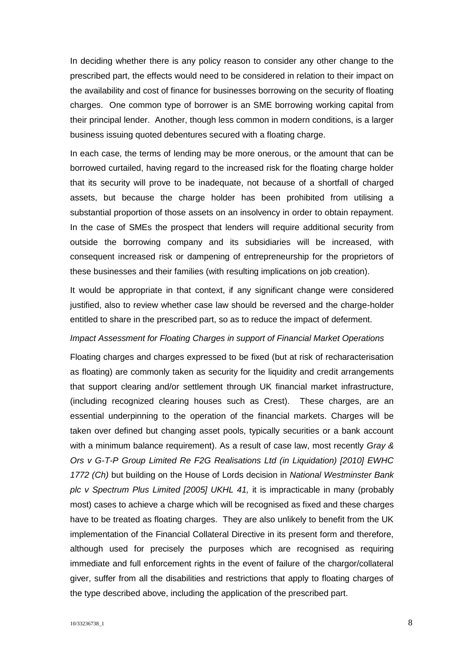In deciding whether there is any policy reason to consider any other change to the prescribed part, the effects would need to be considered in relation to their impact on the availability and cost of finance for businesses borrowing on the security of floating charges. One common type of borrower is an SME borrowing working capital from their principal lender. Another, though less common in modern conditions, is a larger business issuing quoted debentures secured with a floating charge.

In each case, the terms of lending may be more onerous, or the amount that can be borrowed curtailed, having regard to the increased risk for the floating charge holder that its security will prove to be inadequate, not because of a shortfall of charged assets, but because the charge holder has been prohibited from utilising a substantial proportion of those assets on an insolvency in order to obtain repayment. In the case of SMEs the prospect that lenders will require additional security from outside the borrowing company and its subsidiaries will be increased, with consequent increased risk or dampening of entrepreneurship for the proprietors of these businesses and their families (with resulting implications on job creation).

It would be appropriate in that context, if any significant change were considered justified, also to review whether case law should be reversed and the charge-holder entitled to share in the prescribed part, so as to reduce the impact of deferment.

### *Impact Assessment for Floating Charges in support of Financial Market Operations*

Floating charges and charges expressed to be fixed (but at risk of recharacterisation as floating) are commonly taken as security for the liquidity and credit arrangements that support clearing and/or settlement through UK financial market infrastructure, (including recognized clearing houses such as Crest). These charges, are an essential underpinning to the operation of the financial markets. Charges will be taken over defined but changing asset pools, typically securities or a bank account with a minimum balance requirement). As a result of case law, most recently *Gray & Ors v G-T-P Group Limited Re F2G Realisations Ltd (in Liquidation) [2010] EWHC 1772 (Ch)* but building on the House of Lords decision in *National Westminster Bank plc v Spectrum Plus Limited [2005] UKHL 41,* it is impracticable in many (probably most) cases to achieve a charge which will be recognised as fixed and these charges have to be treated as floating charges. They are also unlikely to benefit from the UK implementation of the Financial Collateral Directive in its present form and therefore, although used for precisely the purposes which are recognised as requiring immediate and full enforcement rights in the event of failure of the chargor/collateral giver, suffer from all the disabilities and restrictions that apply to floating charges of the type described above, including the application of the prescribed part.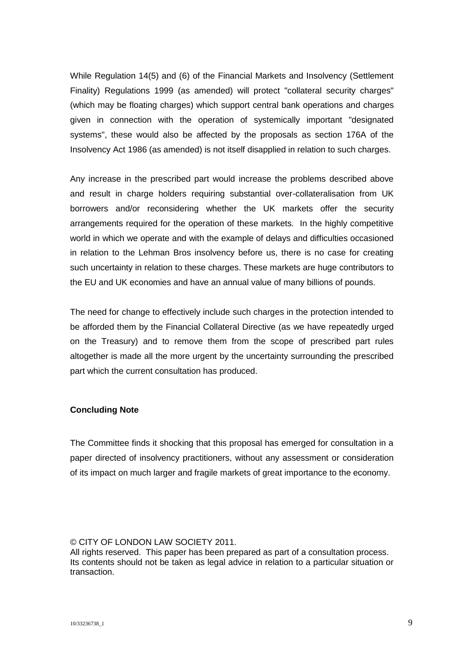While Regulation 14(5) and (6) of the Financial Markets and Insolvency (Settlement Finality) Regulations 1999 (as amended) will protect "collateral security charges" (which may be floating charges) which support central bank operations and charges given in connection with the operation of systemically important "designated systems", these would also be affected by the proposals as section 176A of the Insolvency Act 1986 (as amended) is not itself disapplied in relation to such charges.

Any increase in the prescribed part would increase the problems described above and result in charge holders requiring substantial over-collateralisation from UK borrowers and/or reconsidering whether the UK markets offer the security arrangements required for the operation of these markets. In the highly competitive world in which we operate and with the example of delays and difficulties occasioned in relation to the Lehman Bros insolvency before us, there is no case for creating such uncertainty in relation to these charges. These markets are huge contributors to the EU and UK economies and have an annual value of many billions of pounds.

The need for change to effectively include such charges in the protection intended to be afforded them by the Financial Collateral Directive (as we have repeatedly urged on the Treasury) and to remove them from the scope of prescribed part rules altogether is made all the more urgent by the uncertainty surrounding the prescribed part which the current consultation has produced.

## **Concluding Note**

The Committee finds it shocking that this proposal has emerged for consultation in a paper directed of insolvency practitioners, without any assessment or consideration of its impact on much larger and fragile markets of great importance to the economy.

## © CITY OF LONDON LAW SOCIETY 2011.

All rights reserved. This paper has been prepared as part of a consultation process. Its contents should not be taken as legal advice in relation to a particular situation or transaction.